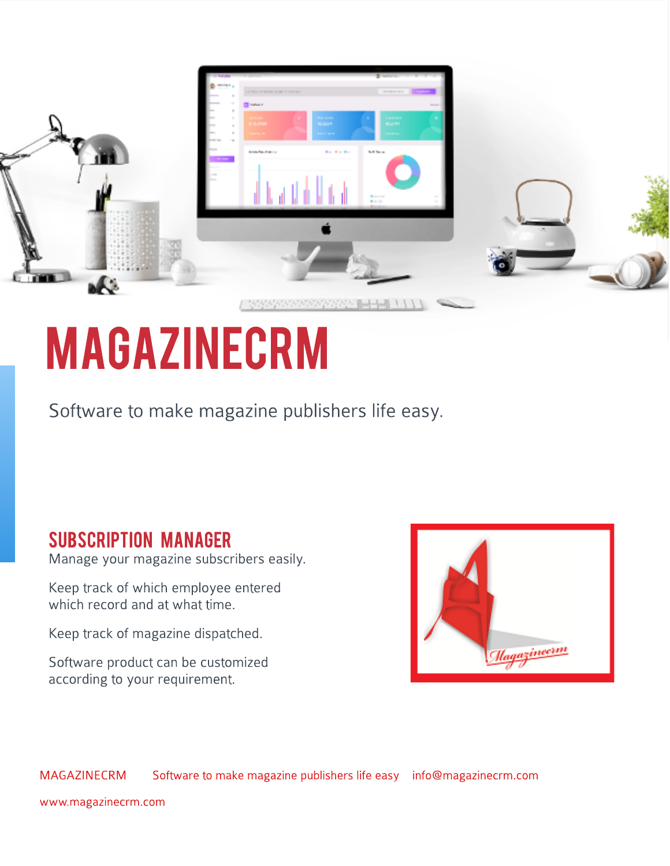|                                                |                                                                                               | <b>Simmer</b>                                 |         |
|------------------------------------------------|-----------------------------------------------------------------------------------------------|-----------------------------------------------|---------|
|                                                | $2 - 11$<br>THE R. P. LEWIS CO., LANSING MICH.<br><b>Blazer</b><br><b>Ballyay</b>             | students of<br>$\sim$<br>144181               |         |
|                                                | <b>Kustan</b><br>171,0009<br><b>American</b><br><b>Wide Ferdinance</b><br><b>Book of Book</b> | 852,911<br><b>Contractor</b><br><b>Miller</b> |         |
|                                                | $-$                                                                                           |                                               | 11, 15, |
| <b>T-D-BF</b><br>en pro                        |                                                                                               | <b>Barriotte</b><br>Witness III<br>Assessed   |         |
| 1.1.1.1.1.1.1.1<br>$1 - 0 + 0 + 0$<br>$-3 - 4$ |                                                                                               |                                               |         |
| <b>COLLA</b><br>ur x                           | 1919191                                                                                       |                                               |         |

## **MAGAZINECRM**

Software to make magazine publishers life easy.

### SUBSCRIPTION MANAGER

Manage your magazine subscribers easily.

Keep track of which employee entered which record and at what time.

Keep track of magazine dispatched.

Software product can be customized according to your requirement.



MAGAZINECRM Software to make magazine publishers life easy info@magazinecrm.com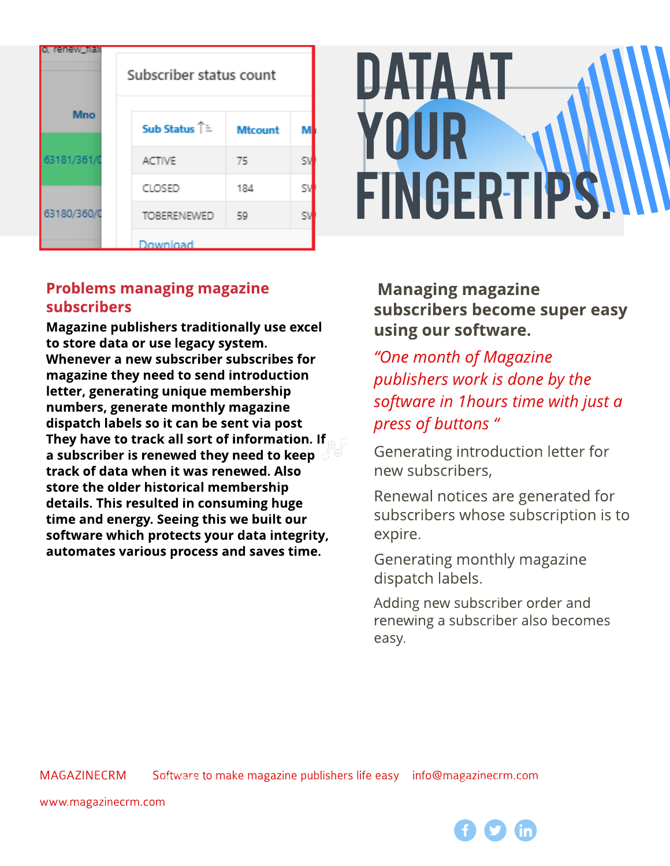| o, renew tiax | Subscriber status count           |                |    |  |  |
|---------------|-----------------------------------|----------------|----|--|--|
| <b>Mno</b>    | <b>Sub Status</b> Î <sup></sup> ≒ | <b>Mtcount</b> | м  |  |  |
| 63181/361/0   | <b>ACTIVE</b>                     | 75             | SI |  |  |
| 63180/360/0   | CLOSED                            | 184            | S۱ |  |  |
|               | <b>TOBERENEWED</b>                | 59             | S۱ |  |  |
|               | Download                          |                |    |  |  |

# Dataat your **FINGERTIPS**

### Problems managing magazine subscribers

Magazine publishers traditionally use excel to store data or use legacy system. Whenever a new subscriber subscribes for magazine they need to send introduction letter, generating unique membership numbers, generate monthly magazine dispatch labels so it can be sent via post They have to track all sort of information. If a subscriber is renewed they need to keep  $\mathcal A$ track of data when it was renewed. Also store the older historical membership details. This resulted in consuming huge time and energy. Seeing this we built our software which protects your data integrity, automates various process and saves time.

**Managing magazine** subscribers become super easy using our software.

**?One month of Magazine publisherswork isdone by the software** in 1hours time with just a **press of buttons** "

Generating introduction letter for new subscribers,

Renewal notices are generated for subscribers whose subscription is to expire.

Generating monthly magazine dispatch labels.

Adding new subscriber order and renewing a subscriber also becomes easy.

MAGAZINECRM Software to make magazine publishers life easy info@magazinecrm.com oftware to make magazine publishers life easy unfo@magazinesrm.com agazine crim.com

www.magazinecrm.com 9987765<br>2007 - Paul Barriston, amerikansk politiker<br>2007 - Paul Barriston, amerikansk politiker pauljohny200@gmail.com

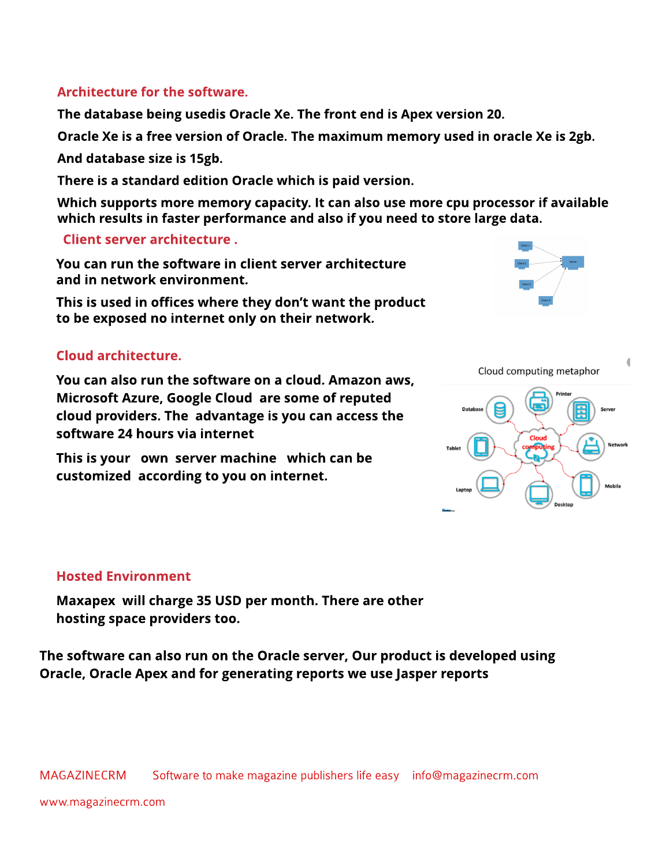#### Architecture for the software.

The dat abase being usedis Oracle Xe. The front end is Apex version 20.

Oracle Xe is a free version of Oracle. The maximum memory used in oracle Xe is 2gb.

And database size is 15gb.

There is a standard edition Oracle which is paid version.

Which supports more memory capacity. It can also use more cpu processor if available which results in faster performance and also if you need to store large data.

#### Client server architecture.

You can run the software in client server architecture and in network environment.

This is used in offices where they don't want the product to be exposed no internet only on their network.

#### Cloud architecture.

You can also run the software on a cloud. Amazon aws, Microsoft Azure, Google Cloud are some of reputed cloud providers. The advantage is you can access the software 24 hours via internet

This is your own server machine which can be customized according to you on internet.





#### **Hosted Environment**

Maxapex will charge 35 USD per month. There are other hosting space providers too.

The software can also run on the Oracle server, Our product is developed using Oracle, Oracle Apex and for generating reports we use Jasper reports